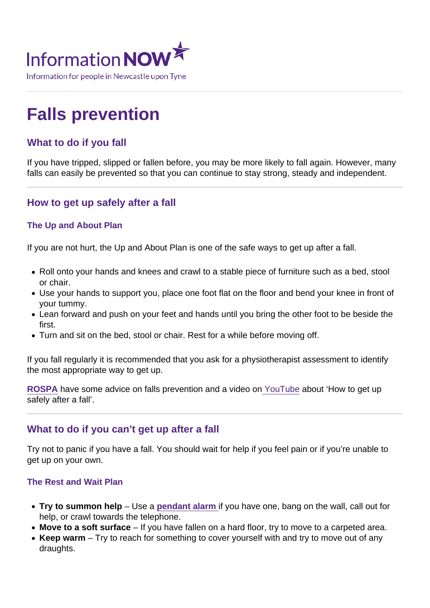# Falls prevention

## What to do if you fall

If you have tripped, slipped or fallen before, you may be more likely to fall again. However, many falls can easily be prevented so that you can continue to stay strong, steady and independent.

## How to get up safely after a fall

## The Up and About Plan

If you are not hurt, the Up and About Plan is one of the safe ways to get up after a fall.

- Roll onto your hands and knees and crawl to a stable piece of furniture such as a bed, stool or chair.
- Use your hands to support you, place one foot flat on the floor and bend your knee in front of your tummy.
- Lean forward and push on your feet and hands until you bring the other foot to be beside the first.
- Turn and sit on the bed, stool or chair. Rest for a while before moving off.

If you fall regularly it is recommended that you ask for a physiotherapist assessment to identify the most appropriate way to get up.

[ROSPA](https://www.rospa.com/home-safety/Campaigns/Stand-Up-Stay-Up) have some advice on falls prevention and a video on [YouTube](https://www.youtube.com/user/RoSPATube) about 'How to get up safely after a fall'.

## What to do if you can't get up after a fall

Try not to panic if you have a fall. You should wait for help if you feel pain or if you're unable to get up on your own.

## The Rest and Wait Plan

- Try to summon help Use a [pendant alarm i](https://www.informationnow.org.uk/article/personal-alarm-systems-and-telecare/)f you have one, bang on the wall, call out for help, or crawl towards the telephone.
- Move to a soft surface If you have fallen on a hard floor, try to move to a carpeted area.
- $\bullet$  Keep warm  $-$  Try to reach for something to cover yourself with and try to move out of any draughts.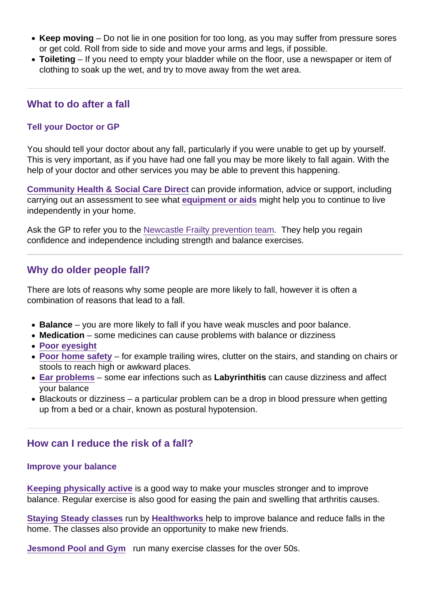- Keep moving  $-$  Do not lie in one position for too long, as you may suffer from pressure sores or get cold. Roll from side to side and move your arms and legs, if possible.
- Toileting If you need to empty your bladder while on the floor, use a newspaper or item of clothing to soak up the wet, and try to move away from the wet area.

## What to do after a fall

## Tell your Doctor or GP

You should tell your doctor about any fall, particularly if you were unable to get up by yourself. This is very important, as if you have had one fall you may be more likely to fall again. With the help of your doctor and other services you may be able to prevent this happening.

[Community Health & Social Care Direct](https://www.informationnow.org.uk/organisation/community-health-social-care-direct-newcastle-city-council/) can provide information, advice or support, including carrying out an assessment to see what [equipment or aids](https://www.informationnow.org.uk/article/home-adaptations-equipment-and-aids/) might help you to continue to live independently in your home.

Ask the GP to refer you to the [Newcastle Frailty prevention team.](https://www.informationnow.org.uk/organisation/newcastle-frailty-prevention-team/) They help you regain confidence and independence including strength and balance exercises.

## Why do older people fall?

There are lots of reasons why some people are more likely to fall, however it is often a combination of reasons that lead to a fall.

- Balance you are more likely to fall if you have weak muscles and poor balance.
- Medication some medicines can cause problems with balance or dizziness
- Poor evesight
- [Poor home safety](https://www.informationnow.org.uk/article/making-your-home-safer/) for example trailing wires, clutter on the stairs, and standing on chairs or stools to reach high or awkward places.
- [Ear problems](https://www.informationnow.org.uk/article/deaf-and-hard-of-hearing/) some ear infections such as Labyrinthitis can cause dizziness and affect your balance
- Blackouts or dizziness a particular problem can be a drop in blood pressure when getting up from a bed or a chair, known as postural hypotension.

## How can I reduce the risk of a fall?

#### Improve your balance

[Keeping physically active](https://www.informationnow.org.uk/article/benefits-of-being-physically-active/) is a good way to make your muscles stronger and to improve balance. Regular exercise is also good for easing the pain and swelling that arthritis causes.

[Staying Steady classes](http://www.healthworksnewcastle.org.uk/our-projects/staying-steady/) run by [Healthworks h](https://www.informationnow.org.uk/organisation/healthworks-newcastle/)elp to improve balance and reduce falls in the home. The classes also provide an opportunity to make new friends.

[Jesmond Pool and Gym](https://www.informationnow.org.uk/organisation/jesmond-pool-and-gym/) run many exercise classes for the over 50s.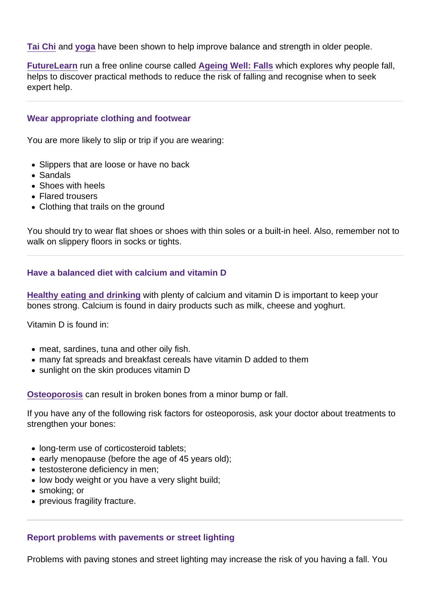[Tai Chi](https://www.informationnow.org.uk/article/fitness-activities/) and [yoga](https://www.informationnow.org.uk/article/fitness-activities/) have been shown to help improve balance and strength in older people.

[FutureLearn](https://www.informationnow.org.uk/organisation/futurelearn/) run a free online course called [Ageing Well: Falls](https://www.futurelearn.com/courses/falls) which explores why people fall, helps to discover practical methods to reduce the risk of falling and recognise when to seek expert help.

#### Wear appropriate clothing and footwear

You are more likely to slip or trip if you are wearing:

- Slippers that are loose or have no back
- Sandals
- Shoes with heels
- Flared trousers
- Clothing that trails on the ground

You should try to wear flat shoes or shoes with thin soles or a built-in heel. Also, remember not to walk on slippery floors in socks or tights.

Have a balanced diet with calcium and vitamin D

[Healthy eating and drinking](https://www.informationnow.org.uk/article/healthy-eating-and-drinking/) with plenty of calcium and vitamin D is important to keep your bones strong. Calcium is found in dairy products such as milk, cheese and yoghurt.

Vitamin D is found in:

- meat, sardines, tuna and other oily fish.
- many fat spreads and breakfast cereals have vitamin D added to them
- sunlight on the skin produces vitamin D

[Osteoporosis](https://www.informationnow.org.uk/article/osteoporosis/) can result in broken bones from a minor bump or fall.

If you have any of the following risk factors for osteoporosis, ask your doctor about treatments to strengthen your bones:

- long-term use of corticosteroid tablets;
- early menopause (before the age of 45 years old);
- testosterone deficiency in men;
- low body weight or you have a very slight build;
- smoking; or
- previous fragility fracture.

#### Report problems with pavements or street lighting

Problems with paving stones and street lighting may increase the risk of you having a fall. You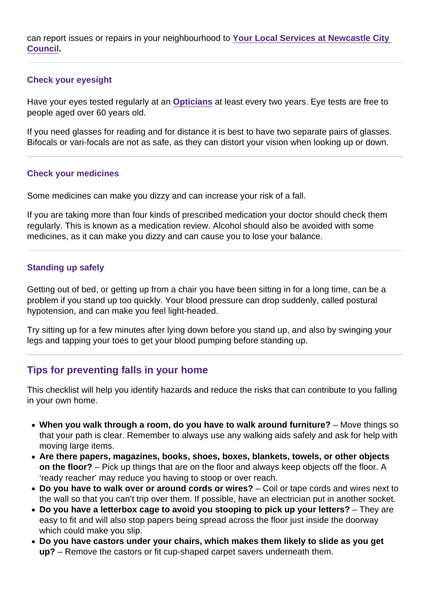can report issues or repairs in your neighbourhood to [Your Local Services at Newcastle City](https://www.informationnow.org.uk/organisation/envirocall-newcastle-city-council/)  [Council](https://www.informationnow.org.uk/organisation/envirocall-newcastle-city-council/) .

#### Check your eyesight

Have your eyes tested regularly at an [Opticians](https://www.informationnow.org.uk/article/opticians/) at least every two years. Eye tests are free to people aged over 60 years old.

If you need glasses for reading and for distance it is best to have two separate pairs of glasses. Bifocals or vari-focals are not as safe, as they can distort your vision when looking up or down.

#### Check your medicines

Some medicines can make you dizzy and can increase your risk of a fall.

If you are taking more than four kinds of prescribed medication your doctor should check them regularly. This is known as a medication review. Alcohol should also be avoided with some medicines, as it can make you dizzy and can cause you to lose your balance.

#### Standing up safely

Getting out of bed, or getting up from a chair you have been sitting in for a long time, can be a problem if you stand up too quickly. Your blood pressure can drop suddenly, called postural hypotension, and can make you feel light-headed.

Try sitting up for a few minutes after lying down before you stand up, and also by swinging your legs and tapping your toes to get your blood pumping before standing up.

## Tips for preventing falls in your home

This checklist will help you identify hazards and reduce the risks that can contribute to you falling in your own home.

- When you walk through a room, do you have to walk around furniture?  $-$  Move things so that your path is clear. Remember to always use any walking aids safely and ask for help with moving large items.
- Are there papers, magazines, books, shoes, boxes, blankets, towels, or other objects on the floor? – Pick up things that are on the floor and always keep objects off the floor. A 'ready reacher' may reduce you having to stoop or over reach.
- $\bullet$  Do you have to walk over or around cords or wires?  $-$  Coil or tape cords and wires next to the wall so that you can't trip over them. If possible, have an electrician put in another socket.
- Do you have a letterbox cage to avoid you stooping to pick up your letters?  $-$  They are easy to fit and will also stop papers being spread across the floor just inside the doorway which could make you slip.
- Do you have castors under your chairs, which makes them likely to slide as you get up? – Remove the castors or fit cup-shaped carpet savers underneath them.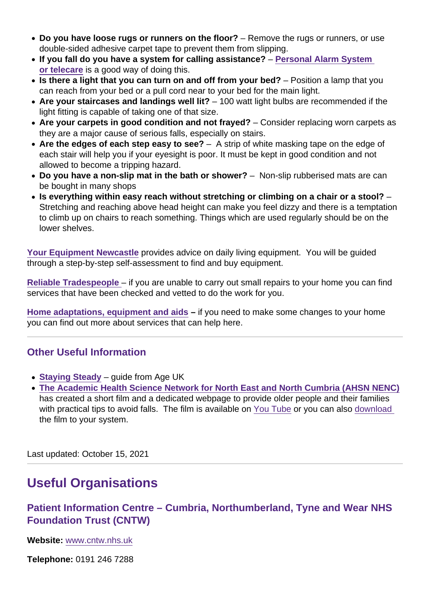- Do you have loose rugs or runners on the floor? Remove the rugs or runners, or use double-sided adhesive carpet tape to prevent them from slipping.
- If you fall do you have a system for calling assistance? Personal Alarm System [or telecare](https://www.informationnow.org.uk/article/personal-alarm-systems-and-telecare/) is a good way of doing this.
- Is there a light that you can turn on and off from your bed?  $-$  Position a lamp that you can reach from your bed or a pull cord near to your bed for the main light.
- Are your staircases and landings well lit?  $-100$  watt light bulbs are recommended if the light fitting is capable of taking one of that size.
- Are your carpets in good condition and not frayed? Consider replacing worn carpets as they are a major cause of serious falls, especially on stairs.
- Are the edges of each step easy to see?  $-$  A strip of white masking tape on the edge of each stair will help you if your eyesight is poor. It must be kept in good condition and not allowed to become a tripping hazard.
- Do you have a non-slip mat in the bath or shower? Non-slip rubberised mats are can be bought in many shops
- Is everything within easy reach without stretching or climbing on a chair or a stool? Stretching and reaching above head height can make you feel dizzy and there is a temptation to climb up on chairs to reach something. Things which are used regularly should be on the lower shelves.

[Your Equipment Newcastle](https://www.informationnow.org.uk/organisation/your-equipment-newcastle/) provides advice on daily living equipment. You will be guided through a step-by-step self-assessment to find and buy equipment.

[Reliable Tradespeople](https://www.informationnow.org.uk/article/getting-repairs-and-decorating-done/) – if you are unable to carry out small repairs to your home you can find services that have been checked and vetted to do the work for you.

[Home adaptations, equipment and aids](https://www.informationnow.org.uk/article/home-adaptations-equipment-and-aids/)  $-$  if you need to make some changes to your home you can find out more about services that can help here.

## Other Useful Information

- [Staying Steady](http://www.ageuk.org.uk/Documents/EN-GB/Information-guides/AgeUKIG14_staying_steady_inf.pdf?dtrk=true&itc=0&ito=&itv=1071744345570)  $-$  guide from Age UK
- [The Academic Health Science Network for North East and North Cumbria \(AHSN NENC\)](https://www.informationnow.org.uk/organisation/academic-health-science-network-ahsn/) has created a short film and a dedicated webpage to provide older people and their families with practical tips to avoid falls. The film is available on [You Tube](https://www.youtube.com/watch?v=UJh4x6G-A2w ) or you can also download the film to your system.

Last updated: October 15, 2021

## Useful Organisations

Patient Information Centre – Cumbria, Northumberland, Tyne and Wear NHS Foundation Trust (CNTW)

Website: [www.cntw.nhs.uk](/var/www/vhosts/informationnow.org.uk/httpdocs/wp-content/themes/infonow/pdf/www.cntw.nhs.uk)

Telephone: 0191 246 7288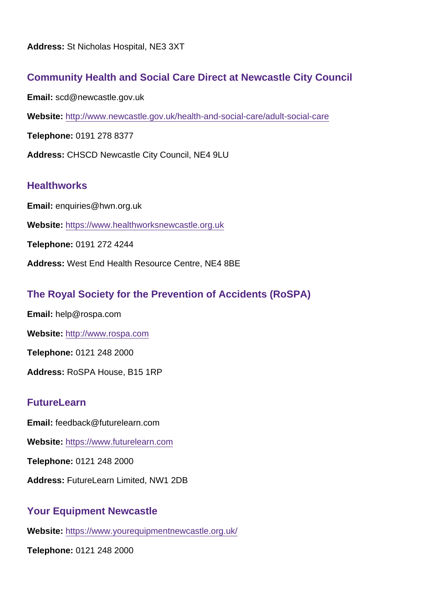## Community Health and Social Care Direct at Newcastle City Council

Email: scd@newcastle.gov.uk

Website: <http://www.newcastle.gov.uk/health-and-social-care/adult-social-care>

Telephone: 0191 278 8377

Address: CHSCD Newcastle City Council, NE4 9LU

## **Healthworks**

Email: enquiries@hwn.org.uk

Website: <https://www.healthworksnewcastle.org.uk>

Telephone: 0191 272 4244

Address: West End Health Resource Centre, NE4 8BE

## The Royal Society for the Prevention of Accidents (RoSPA)

Email: help@rospa.com

Website: <http://www.rospa.com>

Telephone: 0121 248 2000

Address: RoSPA House, B15 1RP

## **FutureLearn**

Email: feedback@futurelearn.com

Website: <https://www.futurelearn.com>

Telephone: 0121 248 2000

Address: FutureLearn Limited, NW1 2DB

## Your Equipment Newcastle

Website: <https://www.yourequipmentnewcastle.org.uk/>

Telephone: 0121 248 2000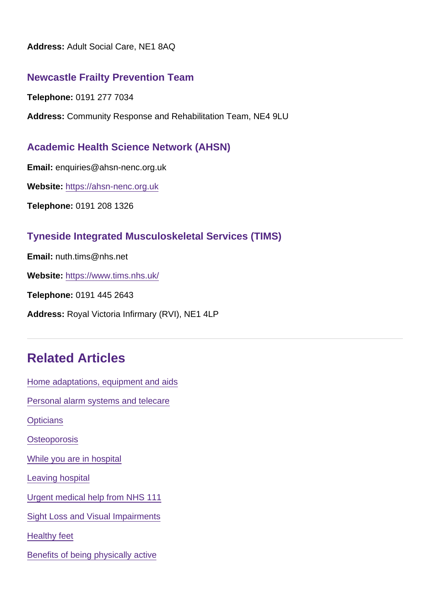Address: Adult Social Care, NE1 8AQ

## Newcastle Frailty Prevention Team

Telephone: 0191 277 7034

Address: Community Response and Rehabilitation Team, NE4 9LU

## Academic Health Science Network (AHSN)

Email: enquiries@ahsn-nenc.org.uk

Website: <https://ahsn-nenc.org.uk>

Telephone: 0191 208 1326

## Tyneside Integrated Musculoskeletal Services (TIMS)

Email: nuth.tims@nhs.net

Website: <https://www.tims.nhs.uk/>

Telephone: 0191 445 2643

Address: Royal Victoria Infirmary (RVI), NE1 4LP

## Related Articles

[Home adaptations, equipment and aids](https://www.informationnow.org.uk/article/home-adaptations-equipment-and-aids/) [Personal alarm systems and telecare](https://www.informationnow.org.uk/article/personal-alarm-systems-and-telecare/) **[Opticians](https://www.informationnow.org.uk/article/opticians/) [Osteoporosis](https://www.informationnow.org.uk/article/osteoporosis/)** [While you are in hospital](https://www.informationnow.org.uk/article/while-you-are-in-hospital/) [Leaving hospital](https://www.informationnow.org.uk/article/leaving-hospital/) [Urgent medical help from NHS 111](https://www.informationnow.org.uk/article/urgent-medical-help-available-nhs-111-nhs-uk-emergency/) [Sight Loss and Visual Impairments](https://www.informationnow.org.uk/article/visual-impairments/) [Healthy feet](https://www.informationnow.org.uk/article/healthy-feet/) [Benefits of being physically active](https://www.informationnow.org.uk/article/benefits-of-being-physically-active/)